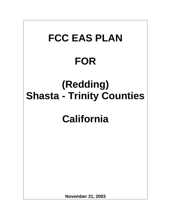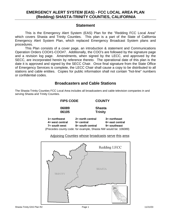#### **Statement**

This is the Emergency Alert System (EAS) Plan for the "Redding FCC Local Area" which covers Shasta and Trinity Counties. This plan is a part of the State of California Emergency Alert System Plan, which replaced Emergency Broadcast System plans and procedures.

This Plan consists of a cover page, an introduction & statement and Communications Operation Orders COO#1-COO#7. Additionally, the COO's are followed by the signature page and a revision log page. Amendments, when signed by the LECC, and approved by the SECC, are incorporated herein by reference thereto. The operational date of this plan is the date it is approved and signed by the SECC Chair. Once final signature from the State Office of Emergency Services is complete, the LECC Chair shall cause a copy to be distributed to all stations and cable entities. Copies for public information shall not contain "hot-line" numbers or confidential codes.

#### **Broadcasters and Cable Stations**

The Shasta-Trinity Counties FCC Local Area includes all broadcasters and cable television companies in and serving Shasta and Trinity Counties.

| <b>FIPS CODE</b>                                                                                                            | <b>COUNTY</b>                                            |                                                    |
|-----------------------------------------------------------------------------------------------------------------------------|----------------------------------------------------------|----------------------------------------------------|
| 06089<br>06105                                                                                                              | <b>Shasta</b><br><b>Trinity</b>                          |                                                    |
| $1 =$ northwest<br>$4=$ west central<br>$7 =$ south west<br>(Precedes county code: for example, Shasta NW would be: 106089) | $2 =$ north central<br>$5 =$ central<br>8= south central | $3 =$ northeast<br>6= east central<br>9= southeast |

Adjoining Counties whose broadcasts serve this area:

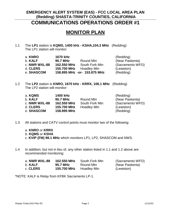# **MONITOR PLAN**

1.1 The **LP1** station is **KQMS, 1400 kHz - KSHA,104.3 MHz** (Redding) The LP1 station will monitor:

| a. KNRO        | <b>1670 kHz</b> |                              | (Redding)        |
|----------------|-----------------|------------------------------|------------------|
| b. <b>KALF</b> | 95.7 MHz        | Round Mtn                    | (Near Paskenta)  |
| c. NWR WXL-88  | 162,550 MHz     | South Fork Mtn               | (Sacramento WFO) |
| d. CLERS       | 155.700 MHz     | <b>Hoadley Mtn</b>           | (Lewiston)       |
| e. SHASCOM     |                 | 158.895 MHz -or- 153.875 MHz | (Redding)        |

1.2 The **LP2** station is **KNRO, 1670 kHz - KRRX, 106.1 MHz** (Redding) The LP2 station will monitor:

| a. KQMS       | 1400 kHz    |                    | (Redding)        |
|---------------|-------------|--------------------|------------------|
| b. KALF       | 95.7 MHz    | Round Mtn          | (Near Paskenta)  |
| c. NWR WXL-88 | 162,550 MHz | South Fork Mtn     | (Sacramento WFO) |
| d. CLERS      | 155.700 MHz | <b>Hoadley Mtn</b> | (Lewiston)       |
| e. SHASCOM    | 158.895 MHz |                    | (Redding)        |

1.3 All stations and CATV control points must monitor two of the following:

a. **KNRO** or **KRRX** b. **KQMS** or **KSHA** c. **KVIP (FM) 98.1 MHz** which monitors LP1, LP2, SHASCOM and NWS.

1.4 In addition, but not in lieu of, any other station listed in 1.1 and 1.2 above are recommended monitoring:

| a. <b>NWR WXL-88</b> | 162.550 MHz | South Fork Mtn | (Sacramento WFO) |
|----------------------|-------------|----------------|------------------|
| b. <b>KALF</b>       | 95.7 MHz    | Round Mtn      | (Near Paskenta)  |
| c. <b>CLERS</b>      | 155.700 MHz | Hoadley Mtn    | (Lewiston)       |

\*NOTE: KALF is Relay from KFBK Sacramento LP-1.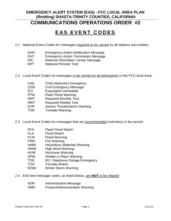# **EAS EVENT CODES**

- 2.1 National Event Codes for messages required to be carried by all stations and entities:
	- EAN Emergency Action Notification Message
	- EAT Emergency Action Termination Message
	- NIC National Information Center Message
	- NPT National Periodic Test
- 2.2 Local Event Codes for messages to be carried by all participants in this FCC local Area:
	- CAE Child Abduction Emergency
	- CEM Civil Emergency Message
	- EVI Evacuation Immediate
	- FFW Flash Flood Warning
	- RMT Required Monthly Test
	- RWT Required Weekly Test
	- SVR Severe Thunderstorm Warning
	- TOR Tornado Warning
- 2.3 Local Event Codes for messages that are recommended (voluntary) to be carried:
	- FFA Flash Flood Watch
	- FLA Flood Watch
	- FLW Flood Warning
	- FRW Fire Warning
	- HMW Hazardous Materials Warning
	- HWW High Wind Warning
	- HUW Hurricane Warning
	- SPW Shelter in Place Warning
	- TOE 911 Telephone Outage Emergency
	- TOA Tornado Watch
	- WSW Winter Storm Warning
- 2.4 EAS test message codes, as listed below, are **NOT** to be relayed:
	- ADR Administrative Message
	- DMO Practice/Demonstration Warning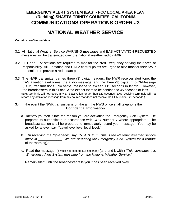# **NATIONAL WEATHER SERVICE**

#### *Contains confidential data*

- 3.1 All National Weather Service WARNING messages and EAS ACTIVATION REQUESTED messages will be transmitted over the national weather radio (NWR).
- 3.2 LP1 and LP2 stations are required to monitor the NWR frequency serving their area of responsibility. All LP station and CATV control points are urged to also monitor their NWR transmitter to provide a redundant path.
- 3.3 The NWR transmitter carries three (3) digital headers, the NWR receiver alert tone, the EAS attention alert tones, the audio message, and the three (3) digital End-Of-Message (EOM) transmissions. No verbal message to exceed 115 seconds in length. However, the broadcasters in this Local Area expect them to be confined to 45 seconds or less. (EAS terminals will not record any EAS activation longer than 120 seconds. EAS receiving terminals will not record any activation message from any source that does not receive the EOM inside 120 seconds.)
- 3.4 In the event the NWR transmitter is off the air, the NWS office shall telephone the **Confidential Information**
	- a. Identify yourself. State the reason you are activating the Emergency Alert System. Be prepared to authenticate in accordance with COO Number 7 where appropriate. The broadcast station shall be prepared to immediately record your message. You may be asked for a level; say "Level level level level level."
	- b. On receiving the "go-ahead", say: *"5, 4, 3, 2, 1. This is the National Weather Service office in \_\_\_\_\_\_\_\_\_\_\_\_\_. We are activating the Emergency Alert System for a* (nature of the warning)."
	- c. Read the message. (It must not exceed 115 seconds) (and end it with:) *"This concludes this Emergency Alert System message from the National Weather Service."*

Remain silent until the broadcaster tells you it has been received okay.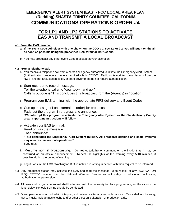## **EMERGENCY ALERT SYSTEM (EAS) - FCC LOCAL AREA PLAN (Redding) SHASTA-TRINITY COUNTIES, CALIFORNIA**

## **COMMUNICATIONS OPERATIONS ORDER #4**

## **FOR LP1 AND LP2 STATIONS TO ACTIVATE EAS AND TRANSMIT A LOCAL BROADCAST**

#### **4.1 From the EAS terminal.**

- a. **If the Event Code coincides with one shown on the COO # 2, sec 2.1 or 2.2, you will put it on the air as soon as possible using the prescribed EAS terminal instructions.**
- b. You may broadcast any other event Code message at your discretion.

#### **4.2 From a telephone call.**

- a. You receive a telephone call from a person or agency authorized to initiate the Emergency Alert System. (Authentication procedure - where required - is in COO-7. Radio or teleprinter transmissions from the NWS, another EAS station, local, or state government do not require authentication.)
- b. Start recorder to record message. Tell the telephone caller to "countdown and go." Caller's out-cue is "This concludes this broadcast from the (Agency) in (location).
- c. Program your EAS terminal with the appropriate FIPS delivery and Event Codes.
- d. Cue up message (if on external recorder) for broadcast. Fade out the program in progress and announce: **"We interrupt this program to activate the Emergency Alert System for the Shasta-Trinity County area. Important instructions will follow."**
- e. Activate your EAS terminal. Read or play the message. Then announce: **"This concludes the Emergency Alert System bulletin. All broadcast stations and cable systems may now resume normal operations."**  Send EOM
- f. Resume normal broadcasting. Do **not** editorialize or comment on the incident as it may be construed as an official announcement. Repeat the highlights of the warning every 5-10 minutes, if possible, during the period of warning.
- g. Log it. Assure the FCC, Washington D.C. is notified in writing in accord with their request to be informed.
- 4.3 Any broadcast station may activate the EAS and read the message, upon receipt of any "ACTIVATION REQUESTED" bulletin from the National Weather Service without delay or additional notification, authorization or permission.
- 4.4 All news and program personnel shall be familiar with the necessity to place programming on the air with the least delay. Periodic training should be conducted.
- 4.5 On-air personnel shall not ad-lib, interpret, abbreviate or alter any test or broadcast. Tests shall not be sung, set to music, include music, echo and/or other electronic alteration or production aids.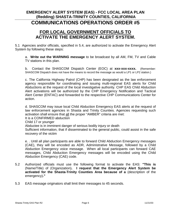## **COMMUNICATIONS OPERATIONS ORDER #5**

## **FOR LOCAL GOVERNMENT OFFICIALS TO ACTIVATE THE EMERGENCY ALERT SYSTEM.**

5.1 Agencies and/or officials, specified in 5.4, are authorized to activate the Emergency Alert System by following these steps:

a. **Write out the WARNING message** to be broadcast by all AM, FM, TV and Cable TV stations in this plan.

b. Contact the SHASCOM Dispatch Center (EOC) at **xxx-xxx-xxxx.** (Remember: SHASCOM Dispatch does not have the means to record the message as would a LP1 or LP2 station.)

c. The California Highway Patrol (CHP) has been designated as the law enforcement agency responsible for coordinating and issuing multi-regional EAS alerts for Child Abductions at the request of the local investigative authority. CHP EAS Child Abduction Alert activations will be authorized by the CHP Emergency Notification and Tactical Alert Center (ENTAC) and forwarded to the respective CHP Communications Center for action.

d. SHASCOM may issue local Child Abduction Emergency EAS alerts at the request of law enforcement agencies in Shasta and Trinity Counties. Agencies requesting such activation shall ensure that <u>all</u> the proper "AMBER" criteria are met:

It is a CONFIRMED abduction

Child 17 or younger

Abductee is in imminent danger of serious bodily injury or death

Sufficient information, that if disseminated to the general public, could assist in the safe recovery of the victim

e. . Until all plan participants are able to forward Child Abduction Emergency messages (CAE), they will be encoded as ADR, Administrative Message, followed by a Child Abduction Emergency voice message. When all local participants can forward CAE messages, Child Abduction Emergency messages will be encoded using the Child Abduction Emergency (CAE) code.

- 5.2 Authorized officials must use the following format to activate the EAS: **"This is**  (Name/Title) of (Organization)**. I request that the Emergency Alert System be activated for the Shasta-Trinity Counties Area because of a** (description of the emergency)**."**
- 5.3 EAS message originators shall limit their messages to 45 seconds.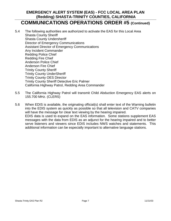- 5.4 The following authorities are authorized to activate the EAS for this Local Area Shasta County Sheriff Shasta County Undersheriff Director of Emergency Communications Assistant Director of Emergency Communications Any Incident Commander Redding Police Chief Redding Fire Chief Anderson Police Chief Anderson Fire Chief Trinity County Sheriff Trinity County UnderSheriff Trinity County OES Director Trinity County Sheriff Detective Eric Palmer California Highway Patrol, Redding Area Commander
- 5.5 The California Highway Patrol will transmit Child Abduction Emergency EAS alerts on 155.700 MHz. (CLERS)
- 5.6 When EDIS is available, the originating official(s) shall enter text of the Warning bulletin into the EDIS system as quickly as possible so that all television and CATV companies will have the message for clear text viewing by the hearing impaired. EDIS data is used to expand on the EAS information. Some stations supplement EAS messages with the data from EDIS as an adjunct for the hearing impaired and to better serve listeners and viewers since EDIS includes NWS watches and statements. This additional information can be especially important to alternative language stations.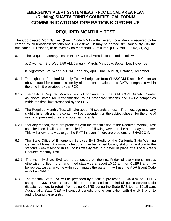## **REQUIRED MONTHLY TEST**

The Coordinated Monthly Test (Event Code RMT) within every Local Area is required to be carried by all broadcast stations and CATV firms. It may be carried simultaneously with the originating LP1 station, or delayed by no more than 60 minutes. [FCC Part 11.61(a) (1) (v)].

6.1 The Required Monthly Test in this FCC Local Area is conducted as follows.

a. Daytime: 3rd Wed 9:50 AM, January, March, May, July, September, November

b. Nighttime: 3rd Wed 9:50 PM, February, April, June, August, October, December

- 6.1.1 The nighttime Required Monthly Test will originate from SHASCOM Dispatch Center as above stated for retransmission by all broadcast stations and CATV companies within the time limit prescribed by the FCC.
- 6.1.2 The daytime Required Monthly Test will originate from the SHASCOM Dispatch Center as above stated for retransmission by all broadcast stations and CATV companies within the time limit prescribed by the FCC.
- 6.2 The Required Monthly Test will take about 45 seconds or less. The message may vary slightly in length and the content will be dependent on the subject chosen for the time of year and prevalent threats or potential hazards.
- 6.2.1 If for any reason, there are problems with the transmission of the Required Monthly Test as scheduled, it will be re-scheduled for the following week, on the same day and time. This will allow for a way to get the RMT in, even if there are problems at SHASCOM.
- 6.3 The State Office of Emergency Services EAS Studio or the California State Warning Center will transmit a monthly test that may be carried by any station in addition to the station's weekly test or in lieu of it's weekly test, but never in place of a Local Area's Required Monthly Test.
- 6.3.1 The monthly State EAS test is conducted on the first Friday of every month unless otherwise notified. It is transmitted statewide at about 10:15 a.m. on CLERS and may be rebroadcast at anytime within 60 minutes thereafter. It will use the ADR Event Code --- not an "RMT".
- 6.3.2 The monthly State EAS will be preceded by a 'talkup' pre-test at 09:45 a.m. on CLERS using the DMO Event Code. This pre-test is used to remind all public service radio dispatch centers to refrain from using CLERS during the State EAS test at 10:15 a.m. Additionally, State OES will conduct periodic phone verification with the LP-1 prior to and following these tests.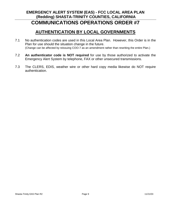# **EMERGENCY ALERT SYSTEM (EAS) - FCC LOCAL AREA PLAN (Redding) SHASTA-TRINITY COUNTIES, CALIFORNIA**

# **COMMUNICATIONS OPERATIONS ORDER #7**

## **AUTHENTICATION BY LOCAL GOVERNMENTS**

- 7.1 No authentication codes are used in this Local Area Plan. However, this Order is in the Plan for use should the situation change in the future. (Change can be affected by reissuing COO-7 as an amendment rather than rewriting the entire Plan.)
- 7.2 **An authenticator code is NOT required** for use by those authorized to activate the Emergency Alert System by telephone, FAX or other unsecured transmissions.
- 7.3 The CLERS, EDIS, weather wire or other hard copy media likewise do NOT require authentication.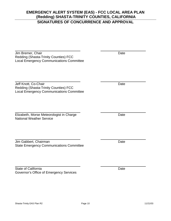#### **EMERGENCY ALERT SYSTEM (EAS) - FCC LOCAL AREA PLAN (Redding) SHASTA-TRINITY COUNTIES, CALIFORNIA SIGNATURES OF CONCURRENCE AND APPROVAL**

**Jim Bremer, Chair** Date Redding (Shasta-Trinity Counties) FCC Local Emergency Communications Committee

Jeff Knott, Co-Chair **Date** Redding (Shasta-Trinity Counties) FCC Local Emergency Communications Committee

**Elizabeth, Morse Meteorologist in Charge Charge Charge Date** National Weather Service

Jim Gabbert, Chairman Date and Date Date Date State Emergency Communications Committee

State of California Date Date California Governor's Office of Emergency Services